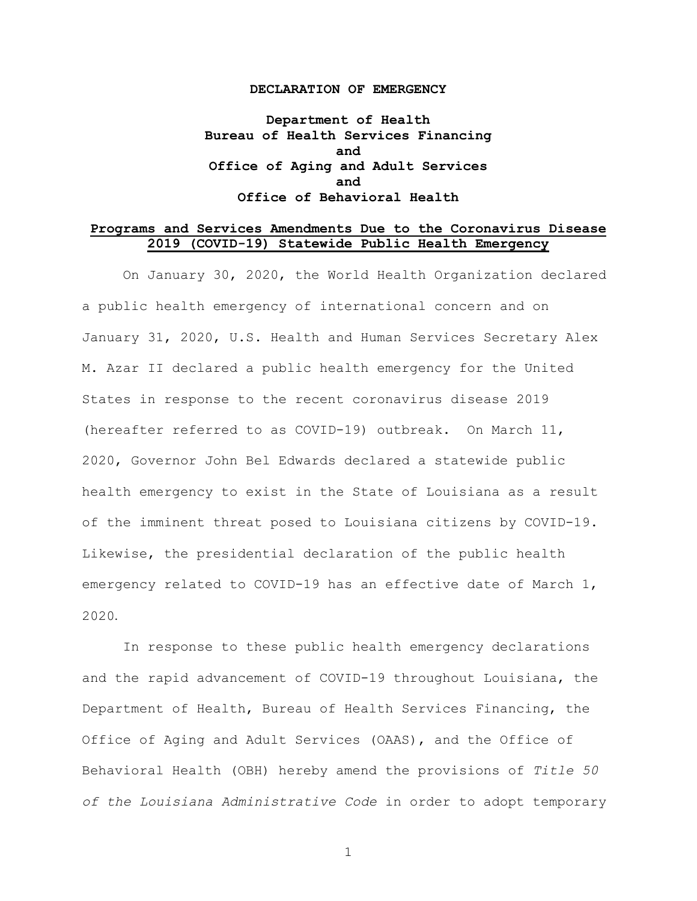#### **DECLARATION OF EMERGENCY**

**Department of Health Bureau of Health Services Financing and Office of Aging and Adult Services and Office of Behavioral Health**

#### **Programs and Services Amendments Due to the Coronavirus Disease 2019 (COVID-19) Statewide Public Health Emergency**

On January 30, 2020, the World Health Organization declared a public health emergency of international concern and on January 31, 2020, U.S. Health and Human Services Secretary Alex M. Azar II declared a public health emergency for the United States in response to the recent coronavirus disease 2019 (hereafter referred to as COVID-19) outbreak. On March 11, 2020, Governor John Bel Edwards declared a statewide public health emergency to exist in the State of Louisiana as a result of the imminent threat posed to Louisiana citizens by COVID-19. Likewise, the presidential declaration of the public health emergency related to COVID-19 has an effective date of March 1, 2020.

In response to these public health emergency declarations and the rapid advancement of COVID-19 throughout Louisiana, the Department of Health, Bureau of Health Services Financing, the Office of Aging and Adult Services (OAAS), and the Office of Behavioral Health (OBH) hereby amend the provisions of *Title 50 of the Louisiana Administrative Code* in order to adopt temporary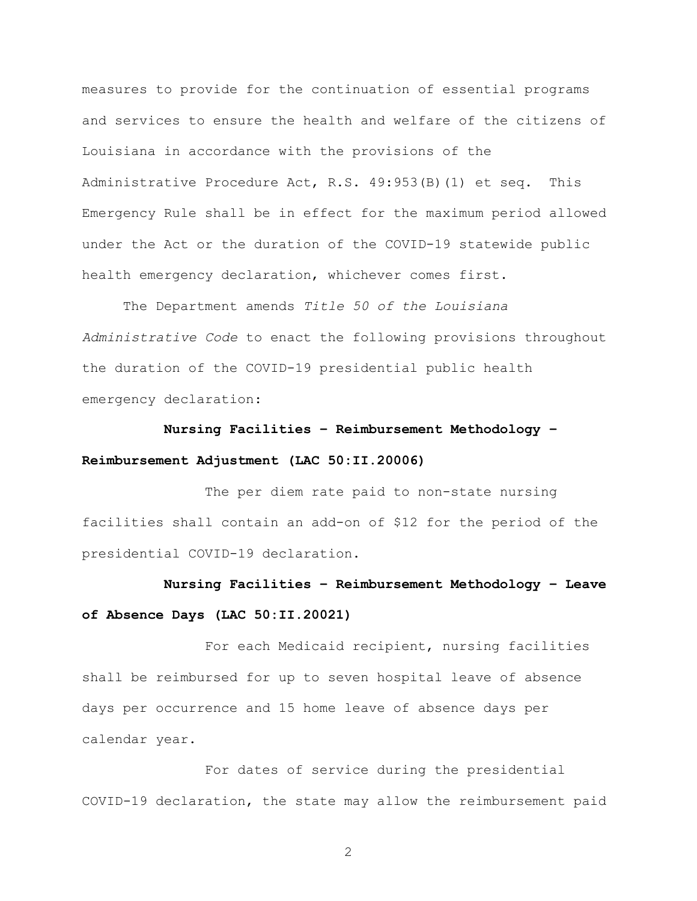measures to provide for the continuation of essential programs and services to ensure the health and welfare of the citizens of Louisiana in accordance with the provisions of the Administrative Procedure Act, R.S. 49:953(B)(1) et seq. This Emergency Rule shall be in effect for the maximum period allowed under the Act or the duration of the COVID-19 statewide public health emergency declaration, whichever comes first.

The Department amends *Title 50 of the Louisiana Administrative Code* to enact the following provisions throughout the duration of the COVID-19 presidential public health emergency declaration:

## **Nursing Facilities – Reimbursement Methodology – Reimbursement Adjustment (LAC 50:II.20006)**

The per diem rate paid to non-state nursing facilities shall contain an add-on of \$12 for the period of the presidential COVID-19 declaration.

### **Nursing Facilities – Reimbursement Methodology – Leave of Absence Days (LAC 50:II.20021)**

For each Medicaid recipient, nursing facilities shall be reimbursed for up to seven hospital leave of absence days per occurrence and 15 home leave of absence days per calendar year.

For dates of service during the presidential COVID-19 declaration, the state may allow the reimbursement paid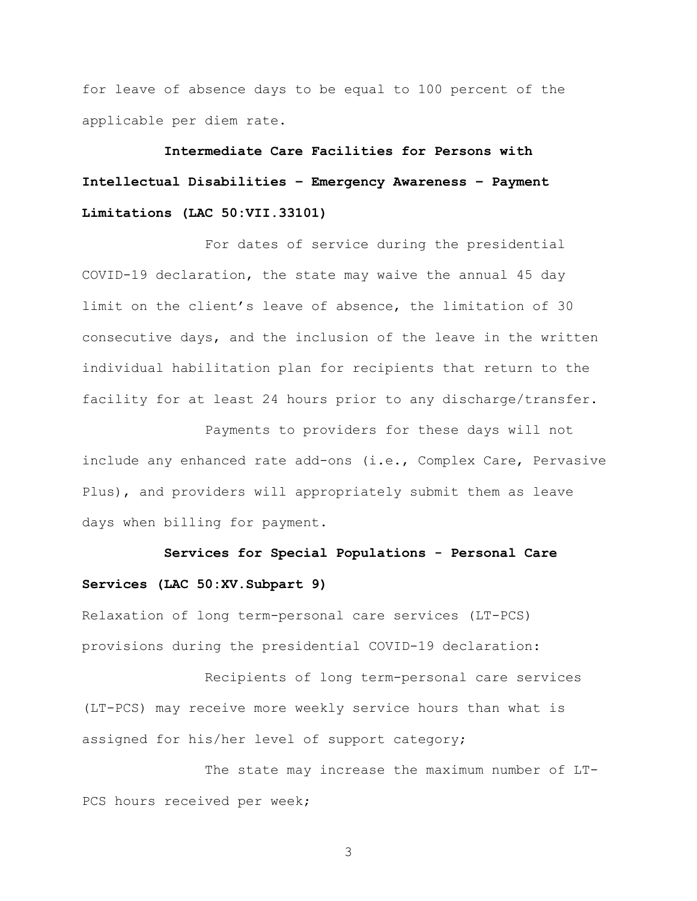for leave of absence days to be equal to 100 percent of the applicable per diem rate.

**Intermediate Care Facilities for Persons with Intellectual Disabilities – Emergency Awareness – Payment Limitations (LAC 50:VII.33101)**

For dates of service during the presidential COVID-19 declaration, the state may waive the annual 45 day limit on the client's leave of absence, the limitation of 30 consecutive days, and the inclusion of the leave in the written individual habilitation plan for recipients that return to the facility for at least 24 hours prior to any discharge/transfer.

Payments to providers for these days will not include any enhanced rate add-ons (i.e., Complex Care, Pervasive Plus), and providers will appropriately submit them as leave days when billing for payment.

#### **Services for Special Populations - Personal Care Services (LAC 50:XV.Subpart 9)**

Relaxation of long term-personal care services (LT-PCS) provisions during the presidential COVID-19 declaration:

Recipients of long term-personal care services (LT-PCS) may receive more weekly service hours than what is assigned for his/her level of support category;

The state may increase the maximum number of LT-PCS hours received per week;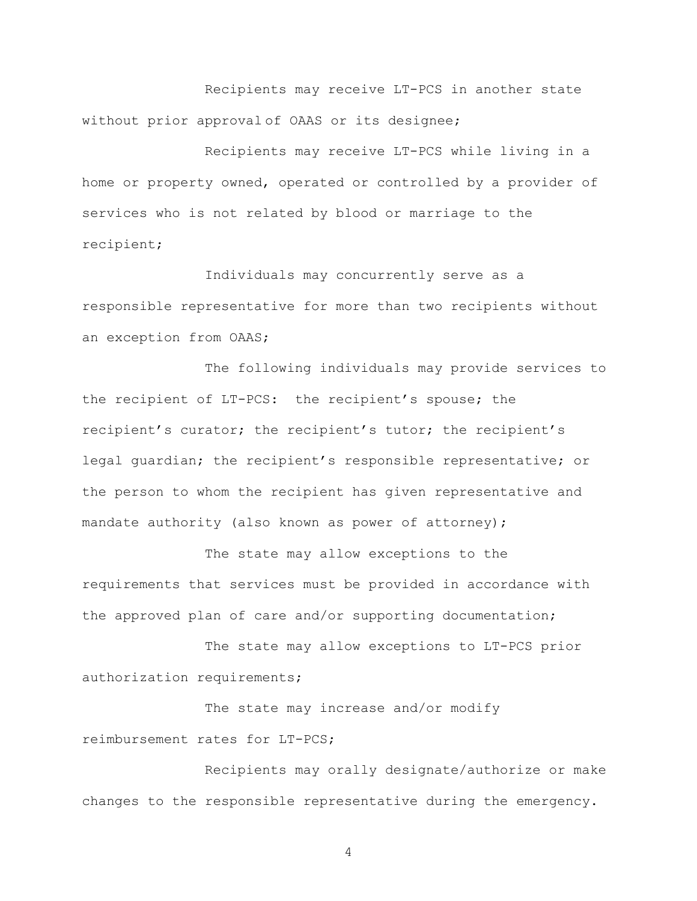Recipients may receive LT-PCS in another state without prior approval of OAAS or its designee;

Recipients may receive LT-PCS while living in a home or property owned, operated or controlled by a provider of services who is not related by blood or marriage to the recipient;

Individuals may concurrently serve as a responsible representative for more than two recipients without an exception from OAAS;

The following individuals may provide services to the recipient of LT-PCS: the recipient's spouse; the recipient's curator; the recipient's tutor; the recipient's legal guardian; the recipient's responsible representative; or the person to whom the recipient has given representative and mandate authority (also known as power of attorney);

The state may allow exceptions to the requirements that services must be provided in accordance with the approved plan of care and/or supporting documentation;

The state may allow exceptions to LT-PCS prior authorization requirements;

The state may increase and/or modify reimbursement rates for LT-PCS;

Recipients may orally designate/authorize or make changes to the responsible representative during the emergency.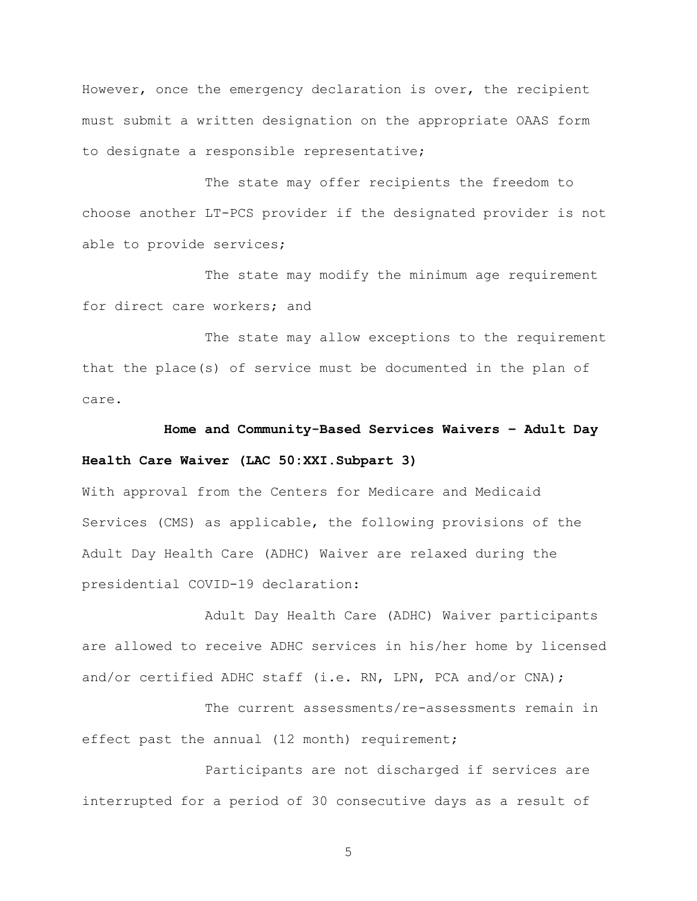However, once the emergency declaration is over, the recipient must submit a written designation on the appropriate OAAS form to designate a responsible representative;

The state may offer recipients the freedom to choose another LT-PCS provider if the designated provider is not able to provide services;

The state may modify the minimum age requirement for direct care workers; and

The state may allow exceptions to the requirement that the place(s) of service must be documented in the plan of care.

**Home and Community-Based Services Waivers – Adult Day Health Care Waiver (LAC 50:XXI.Subpart 3)**

With approval from the Centers for Medicare and Medicaid Services (CMS) as applicable, the following provisions of the Adult Day Health Care (ADHC) Waiver are relaxed during the presidential COVID-19 declaration:

Adult Day Health Care (ADHC) Waiver participants are allowed to receive ADHC services in his/her home by licensed and/or certified ADHC staff (i.e. RN, LPN, PCA and/or CNA);

The current assessments/re-assessments remain in effect past the annual (12 month) requirement;

Participants are not discharged if services are interrupted for a period of 30 consecutive days as a result of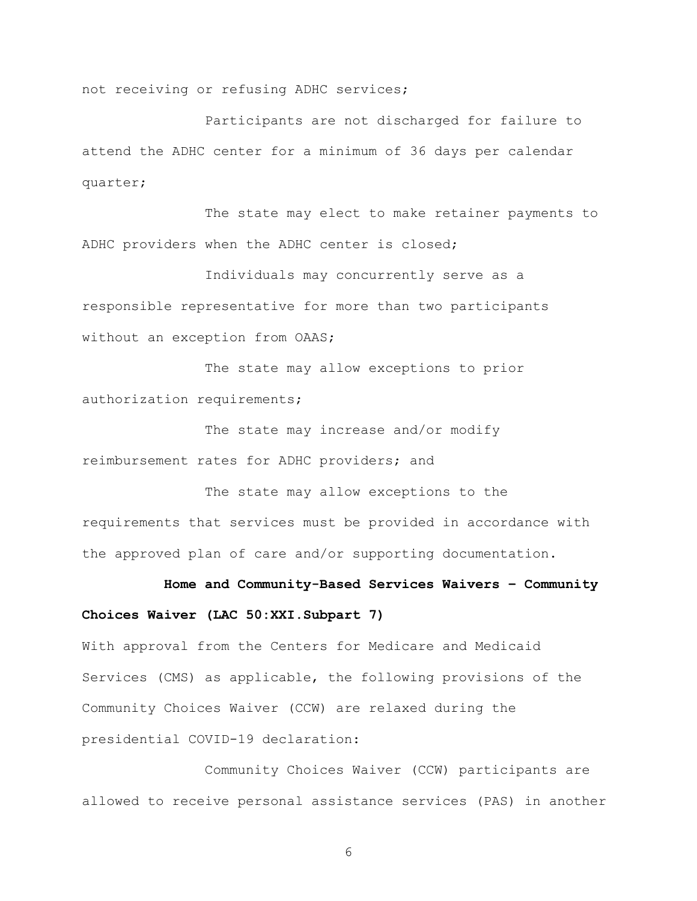not receiving or refusing ADHC services;

Participants are not discharged for failure to attend the ADHC center for a minimum of 36 days per calendar quarter;

The state may elect to make retainer payments to ADHC providers when the ADHC center is closed;

Individuals may concurrently serve as a responsible representative for more than two participants without an exception from OAAS;

The state may allow exceptions to prior authorization requirements;

The state may increase and/or modify reimbursement rates for ADHC providers; and

The state may allow exceptions to the requirements that services must be provided in accordance with the approved plan of care and/or supporting documentation.

# **Home and Community-Based Services Waivers – Community Choices Waiver (LAC 50:XXI.Subpart 7)**

With approval from the Centers for Medicare and Medicaid Services (CMS) as applicable, the following provisions of the Community Choices Waiver (CCW) are relaxed during the presidential COVID-19 declaration:

Community Choices Waiver (CCW) participants are allowed to receive personal assistance services (PAS) in another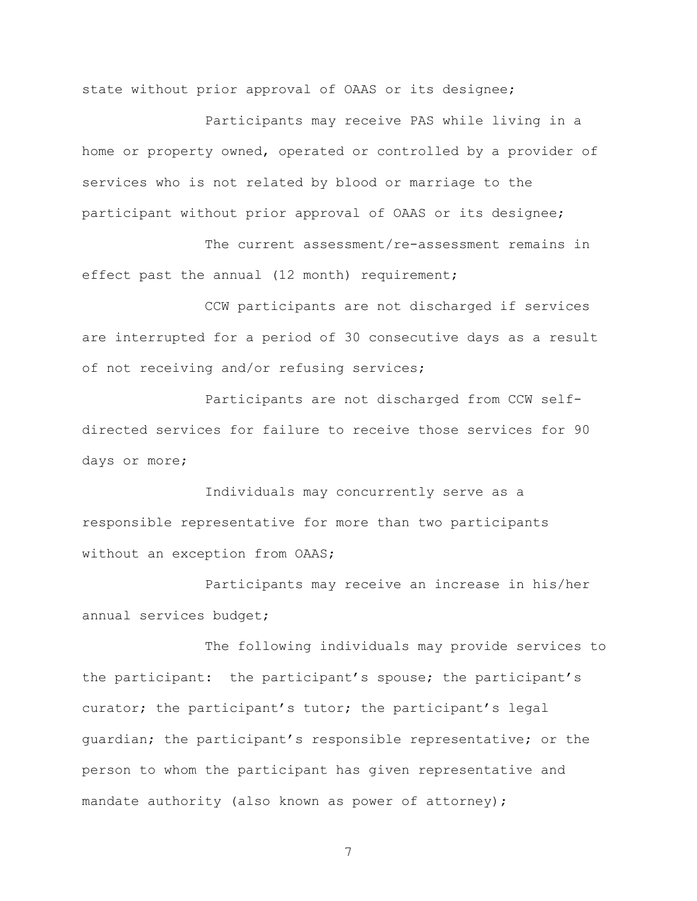state without prior approval of OAAS or its designee;

Participants may receive PAS while living in a home or property owned, operated or controlled by a provider of services who is not related by blood or marriage to the participant without prior approval of OAAS or its designee;

The current assessment/re-assessment remains in effect past the annual (12 month) requirement;

CCW participants are not discharged if services are interrupted for a period of 30 consecutive days as a result of not receiving and/or refusing services;

Participants are not discharged from CCW selfdirected services for failure to receive those services for 90 days or more;

Individuals may concurrently serve as a responsible representative for more than two participants without an exception from OAAS;

Participants may receive an increase in his/her annual services budget;

The following individuals may provide services to the participant: the participant's spouse; the participant's curator; the participant's tutor; the participant's legal guardian; the participant's responsible representative; or the person to whom the participant has given representative and mandate authority (also known as power of attorney);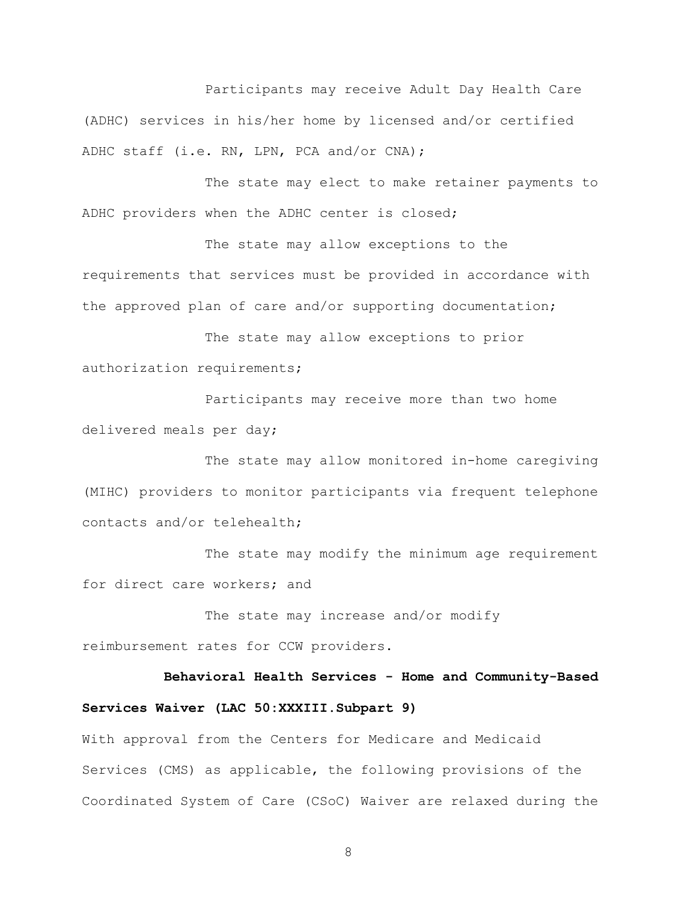Participants may receive Adult Day Health Care (ADHC) services in his/her home by licensed and/or certified ADHC staff (i.e. RN, LPN, PCA and/or CNA);

The state may elect to make retainer payments to ADHC providers when the ADHC center is closed;

The state may allow exceptions to the requirements that services must be provided in accordance with the approved plan of care and/or supporting documentation;

The state may allow exceptions to prior authorization requirements;

Participants may receive more than two home delivered meals per day;

The state may allow monitored in-home caregiving (MIHC) providers to monitor participants via frequent telephone contacts and/or telehealth;

The state may modify the minimum age requirement for direct care workers; and

The state may increase and/or modify reimbursement rates for CCW providers.

**Behavioral Health Services - Home and Community-Based Services Waiver (LAC 50:XXXIII.Subpart 9)**

With approval from the Centers for Medicare and Medicaid Services (CMS) as applicable, the following provisions of the Coordinated System of Care (CSoC) Waiver are relaxed during the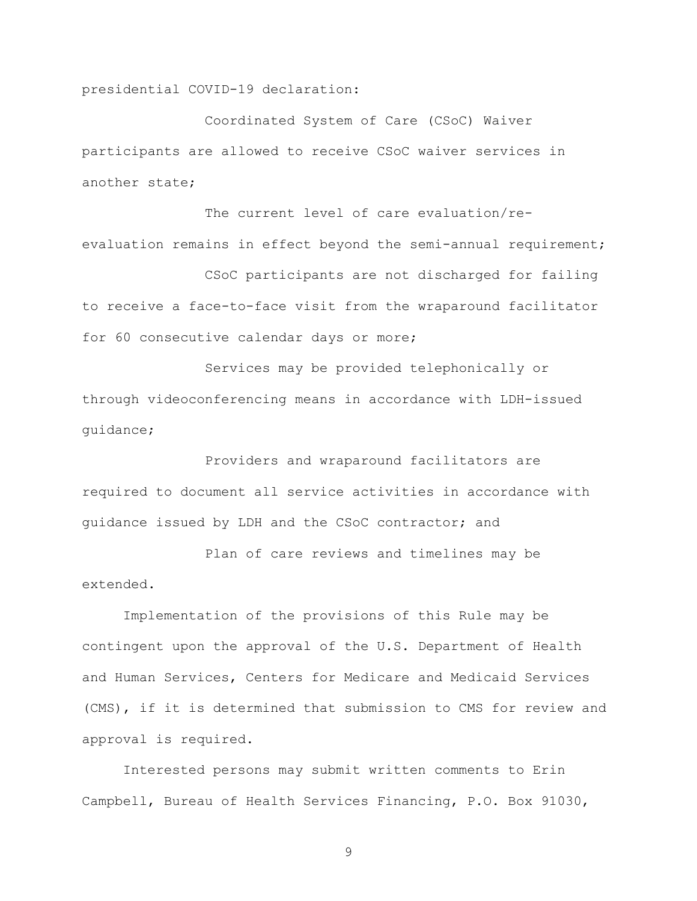presidential COVID-19 declaration:

Coordinated System of Care (CSoC) Waiver participants are allowed to receive CSoC waiver services in another state;

The current level of care evaluation/reevaluation remains in effect beyond the semi-annual requirement;

CSoC participants are not discharged for failing to receive a face-to-face visit from the wraparound facilitator for 60 consecutive calendar days or more;

Services may be provided telephonically or through videoconferencing means in accordance with LDH-issued guidance;

Providers and wraparound facilitators are required to document all service activities in accordance with guidance issued by LDH and the CSoC contractor; and

Plan of care reviews and timelines may be extended.

Implementation of the provisions of this Rule may be contingent upon the approval of the U.S. Department of Health and Human Services, Centers for Medicare and Medicaid Services (CMS), if it is determined that submission to CMS for review and approval is required.

Interested persons may submit written comments to Erin Campbell, Bureau of Health Services Financing, P.O. Box 91030,